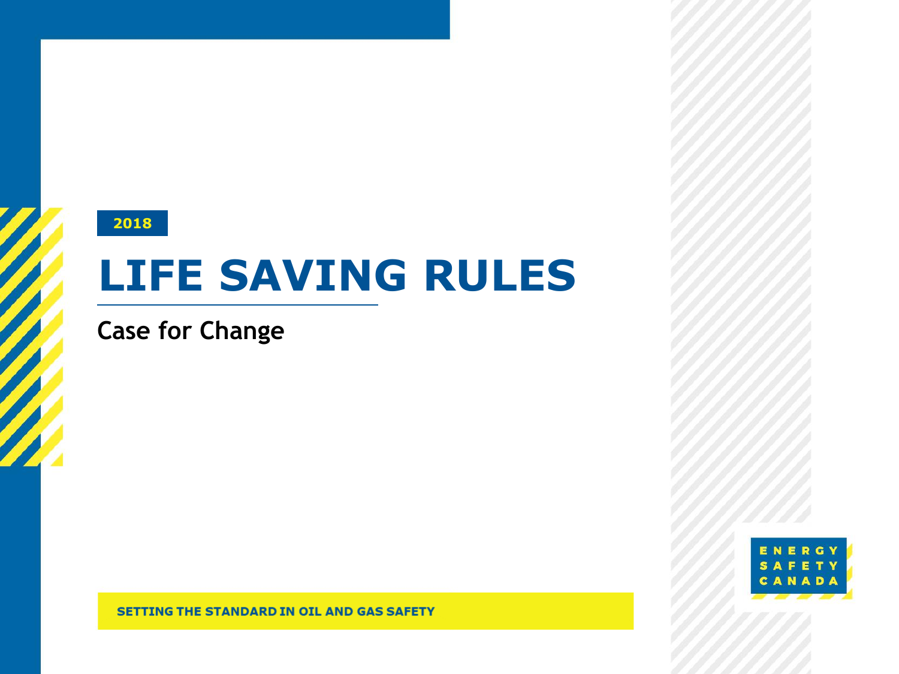#### **2018**

# **LIFE SAVING RULES**

**Case for Change**



**SETTING THE STANDARD IN OIL AND GAS SAFETY**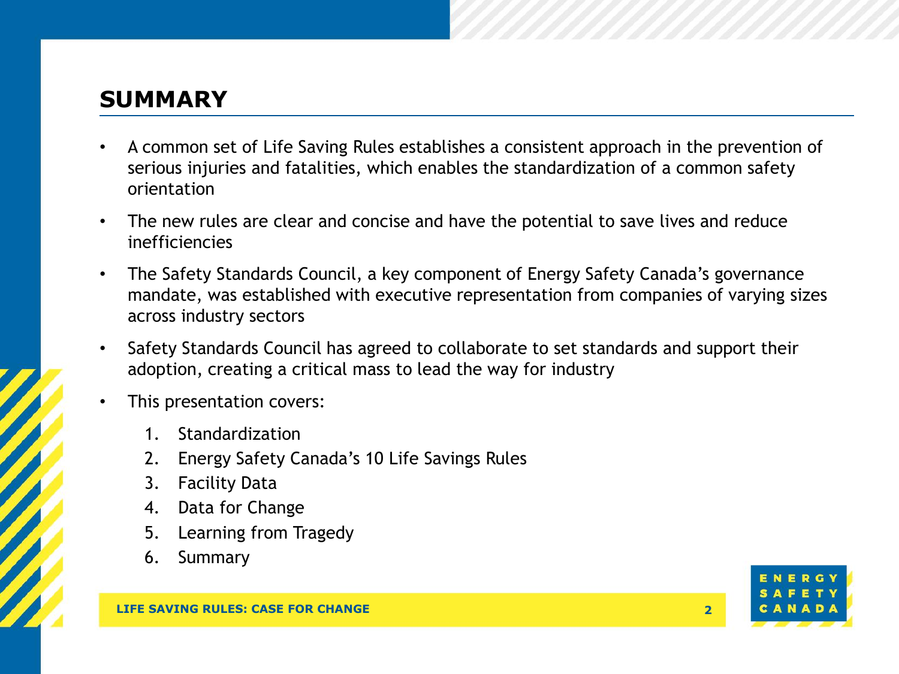# **SUMMARY**

- A common set of Life Saving Rules establishes a consistent approach in the prevention of serious injuries and fatalities, which enables the standardization of a common safety orientation
- The new rules are clear and concise and have the potential to save lives and reduce inefficiencies
- The Safety Standards Council, a key component of Energy Safety Canada's governance mandate, was established with executive representation from companies of varying sizes across industry sectors
- Safety Standards Council has agreed to collaborate to set standards and support their adoption, creating a critical mass to lead the way for industry
- This presentation covers:
	- 1. Standardization
	- 2. Energy Safety Canada's 10 Life Savings Rules
	- 3. Facility Data
	- 4. Data for Change
	- 5. Learning from Tragedy
	- 6. Summary

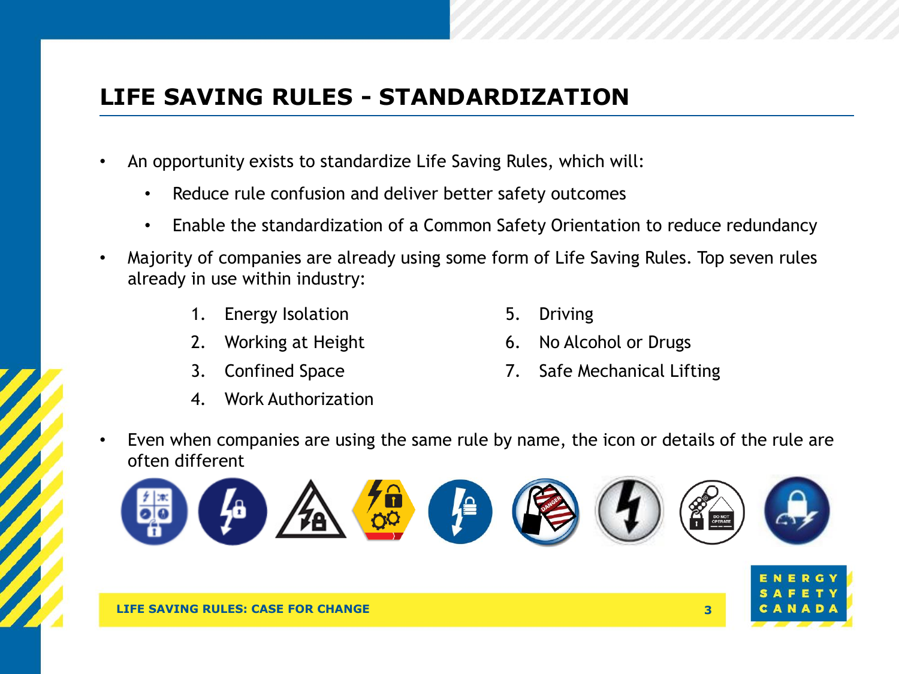# **LIFE SAVING RULES - STANDARDIZATION**

- An opportunity exists to standardize Life Saving Rules, which will:
	- Reduce rule confusion and deliver better safety outcomes
	- Enable the standardization of a Common Safety Orientation to reduce redundancy
- Majority of companies are already using some form of Life Saving Rules. Top seven rules already in use within industry:
	- 1. Energy Isolation
	- 2. Working at Height
	- 3. Confined Space
	- 4. Work Authorization
- 5. Driving
- 6. No Alcohol or Drugs
- 7. Safe Mechanical Lifting
- Even when companies are using the same rule by name, the icon or details of the rule are often different





**LIFE SAVING RULES: CASE FOR CHANGE 3**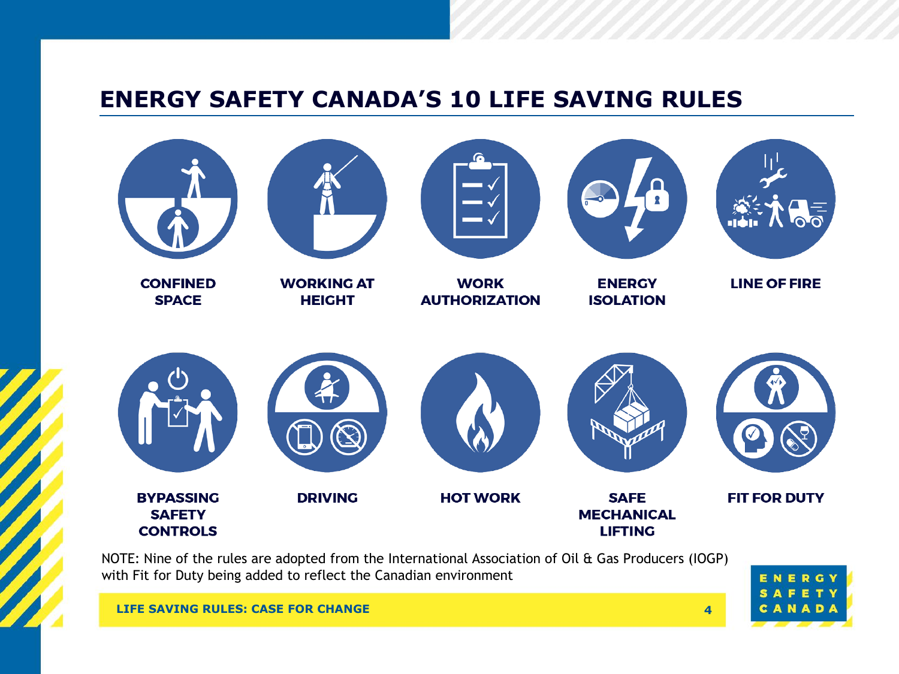# **ENERGY SAFETY CANADA'S 10 LIFE SAVING RULES**



NOTE: Nine of the rules are adopted from the International Association of Oil & Gas Producers (IOGP) with Fit for Duty being added to reflect the Canadian environment

CANADA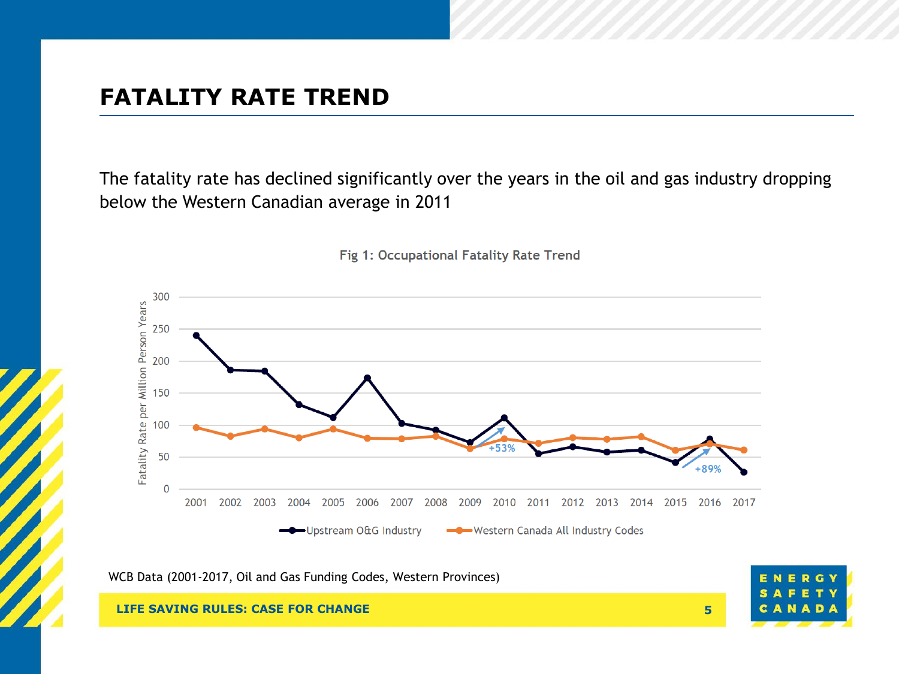### **FATALITY RATE TREND**

The fatality rate has declined significantly over the years in the oil and gas industry dropping below the Western Canadian average in 2011



Fig 1: Occupational Fatality Rate Trend

WCB Data (2001-2017, Oil and Gas Funding Codes, Western Provinces)



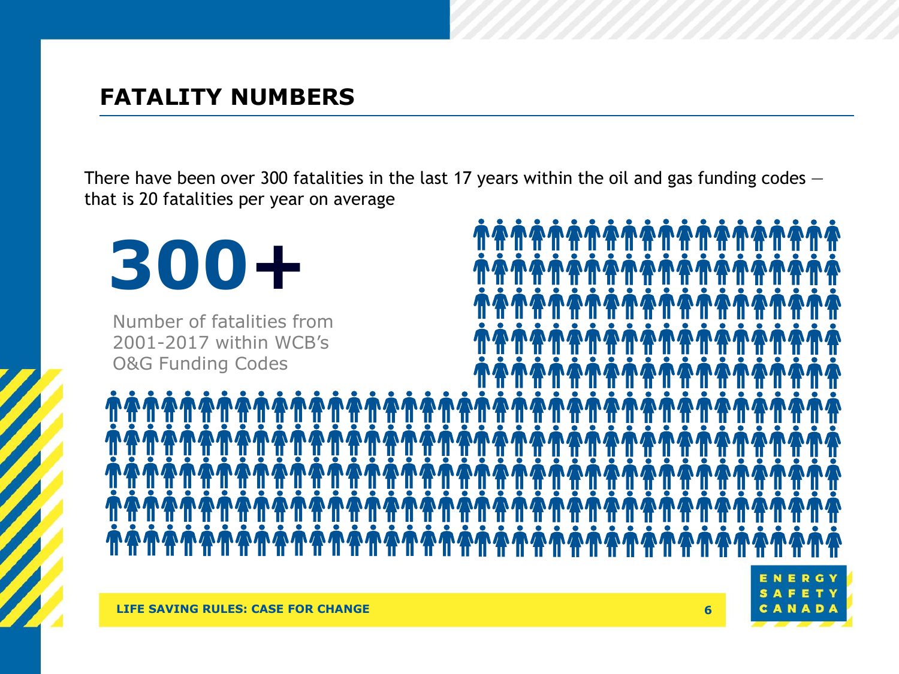### **FATALITY NUMBERS**

There have been over 300 fatalities in the last 17 years within the oil and gas funding codes – that is 20 fatalities per year on average

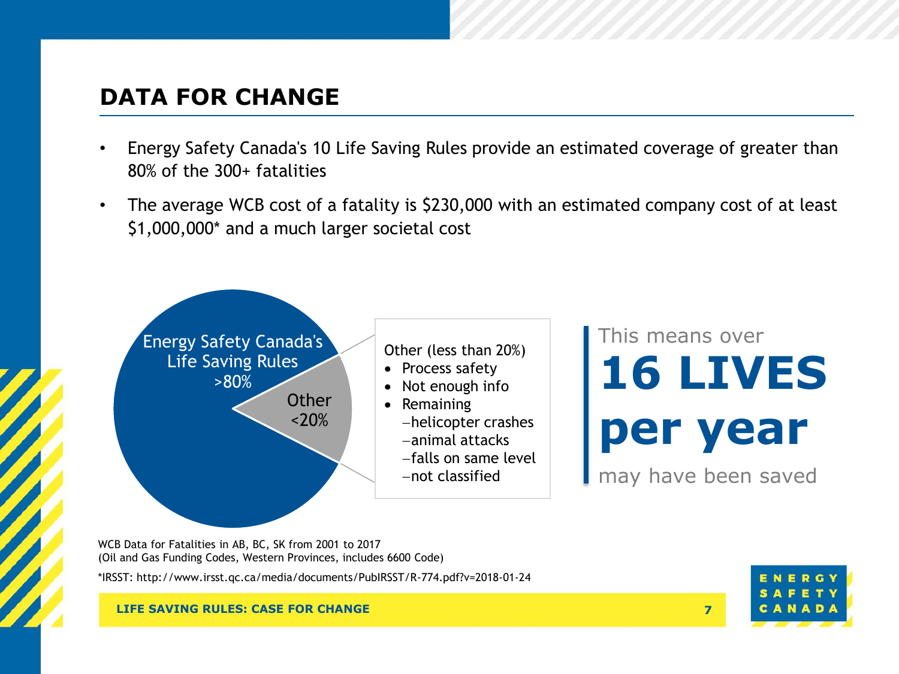## **DATA FOR CHANGE**

- Energy Safety Canada's 10 Life Saving Rules provide an estimated coverage of greater than 80% of the 300+ fatalities
- The average WCB cost of a fatality is \$230,000 with an estimated company cost of at least \$1,000,000\* and a much larger societal cost



This means over **16 LIVES per year** may have been saved

WCB Data for Fatalities in AB, BC, SK from 2001 to 2017 (Oil and Gas Funding Codes, Western Provinces, includes 6600 Code)

\*IRSST: http://www.irsst.qc.ca/media/documents/PubIRSST/R-774.pdf?v=2018-01-24

#### **LIFE SAVING RULES: CASE FOR CHANGE 7**

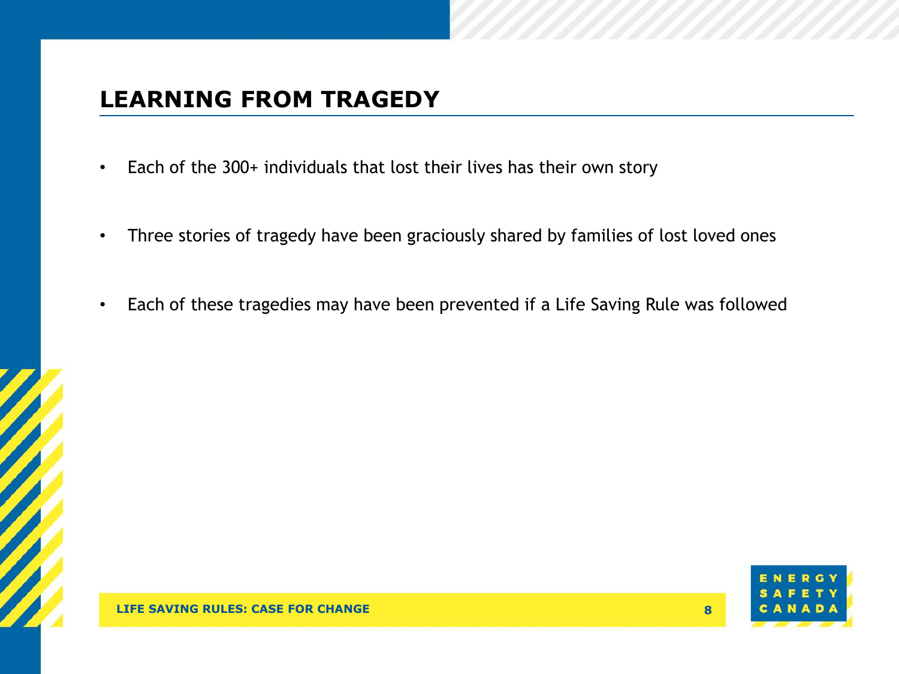# **LEARNING FROM TRAGEDY**

- Each of the 300+ individuals that lost their lives has their own story
- Three stories of tragedy have been graciously shared by families of lost loved ones
- Each of these tragedies may have been prevented if a Life Saving Rule was followed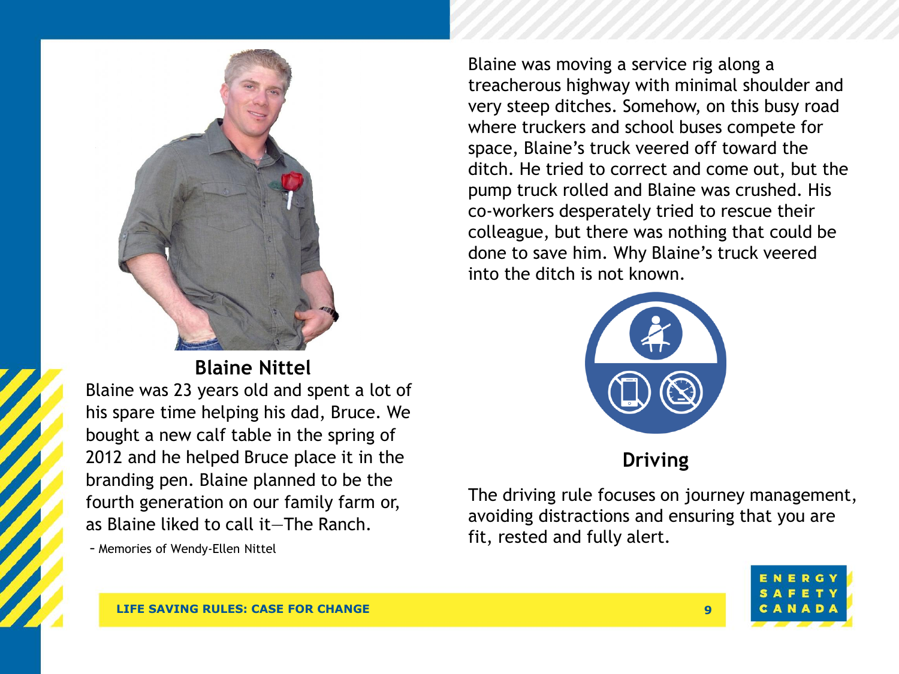

**Blaine Nittel**

Blaine was 23 years old and spent a lot of his spare time helping his dad, Bruce. We bought a new calf table in the spring of 2012 and he helped Bruce place it in the branding pen. Blaine planned to be the fourth generation on our family farm or, as Blaine liked to call it—The Ranch.

- Memories of Wendy-Ellen Nittel

Blaine was moving a service rig along a treacherous highway with minimal shoulder and very steep ditches. Somehow, on this busy road where truckers and school buses compete for space, Blaine's truck veered off toward the ditch. He tried to correct and come out, but the pump truck rolled and Blaine was crushed. His co-workers desperately tried to rescue their colleague, but there was nothing that could be done to save him. Why Blaine's truck veered into the ditch is not known.



**Driving**

The driving rule focuses on journey management, avoiding distractions and ensuring that you are fit, rested and fully alert.

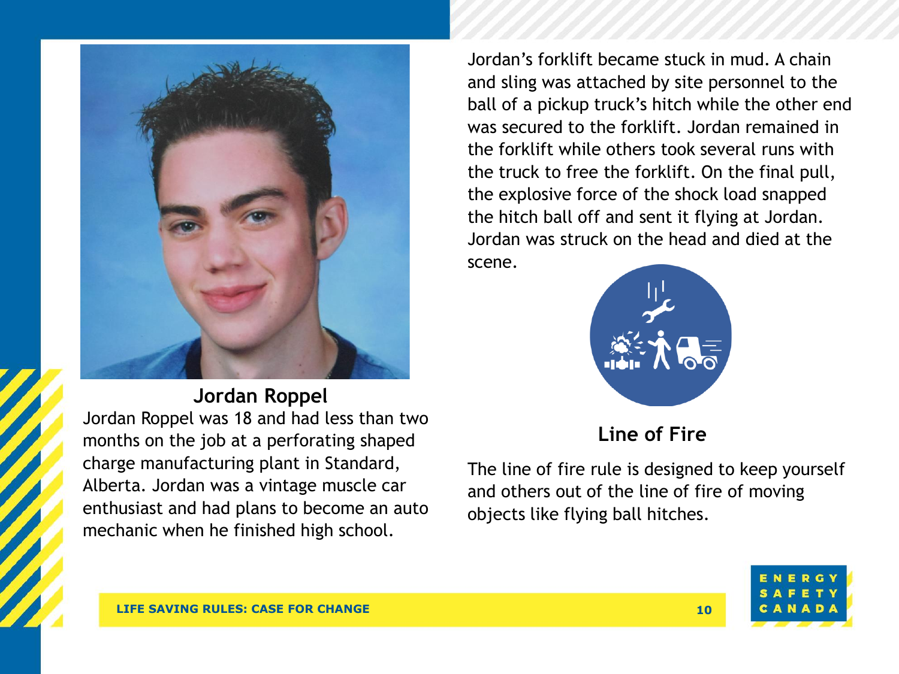

### **Jordan Roppel**

Jordan Roppel was 18 and had less than two months on the job at a perforating shaped charge manufacturing plant in Standard, Alberta. Jordan was a vintage muscle car enthusiast and had plans to become an auto mechanic when he finished high school.

Jordan's forklift became stuck in mud. A chain and sling was attached by site personnel to the ball of a pickup truck's hitch while the other end was secured to the forklift. Jordan remained in the forklift while others took several runs with the truck to free the forklift. On the final pull, the explosive force of the shock load snapped the hitch ball off and sent it flying at Jordan. Jordan was struck on the head and died at the scene.



### **Line of Fire**

The line of fire rule is designed to keep yourself and others out of the line of fire of moving objects like flying ball hitches.

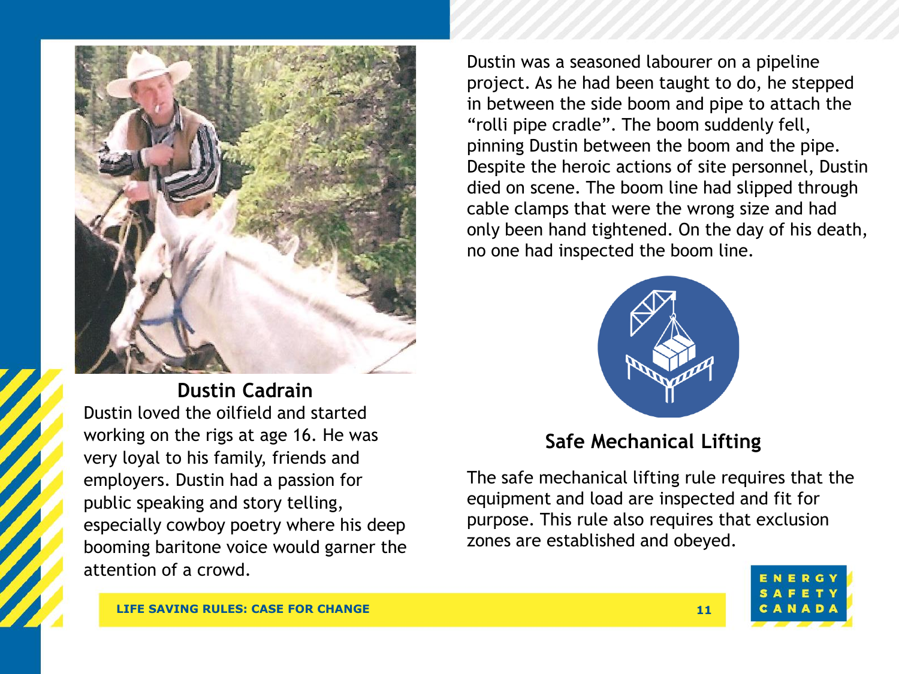

**Dustin Cadrain** Dustin loved the oilfield and started working on the rigs at age 16. He was very loyal to his family, friends and employers. Dustin had a passion for public speaking and story telling, especially cowboy poetry where his deep booming baritone voice would garner the attention of a crowd.

Dustin was a seasoned labourer on a pipeline project. As he had been taught to do, he stepped in between the side boom and pipe to attach the "rolli pipe cradle". The boom suddenly fell, pinning Dustin between the boom and the pipe. Despite the heroic actions of site personnel, Dustin died on scene. The boom line had slipped through cable clamps that were the wrong size and had only been hand tightened. On the day of his death, no one had inspected the boom line.



### **Safe Mechanical Lifting**

The safe mechanical lifting rule requires that the equipment and load are inspected and fit for purpose. This rule also requires that exclusion zones are established and obeyed.

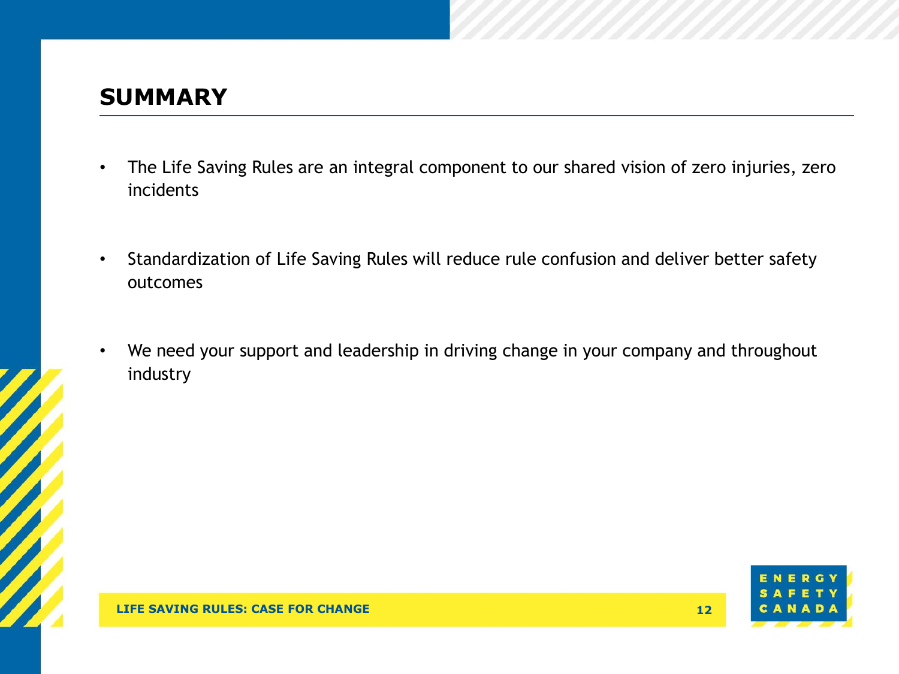### **SUMMARY**

- The Life Saving Rules are an integral component to our shared vision of zero injuries, zero incidents
- Standardization of Life Saving Rules will reduce rule confusion and deliver better safety outcomes
- We need your support and leadership in driving change in your company and throughout industry